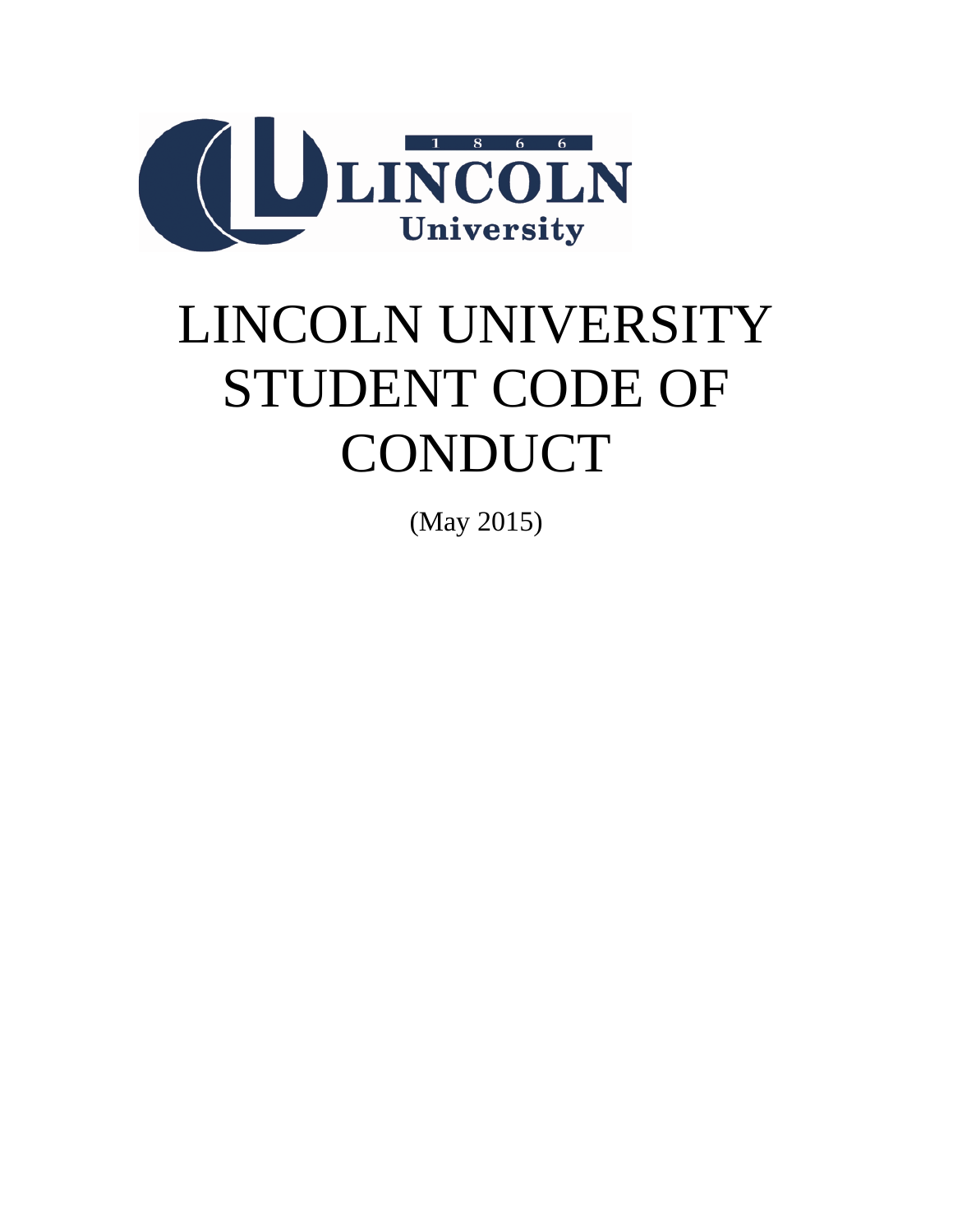

# LINCOLN UNIVERSITY STUDENT CODE OF CONDUCT

(May 2015)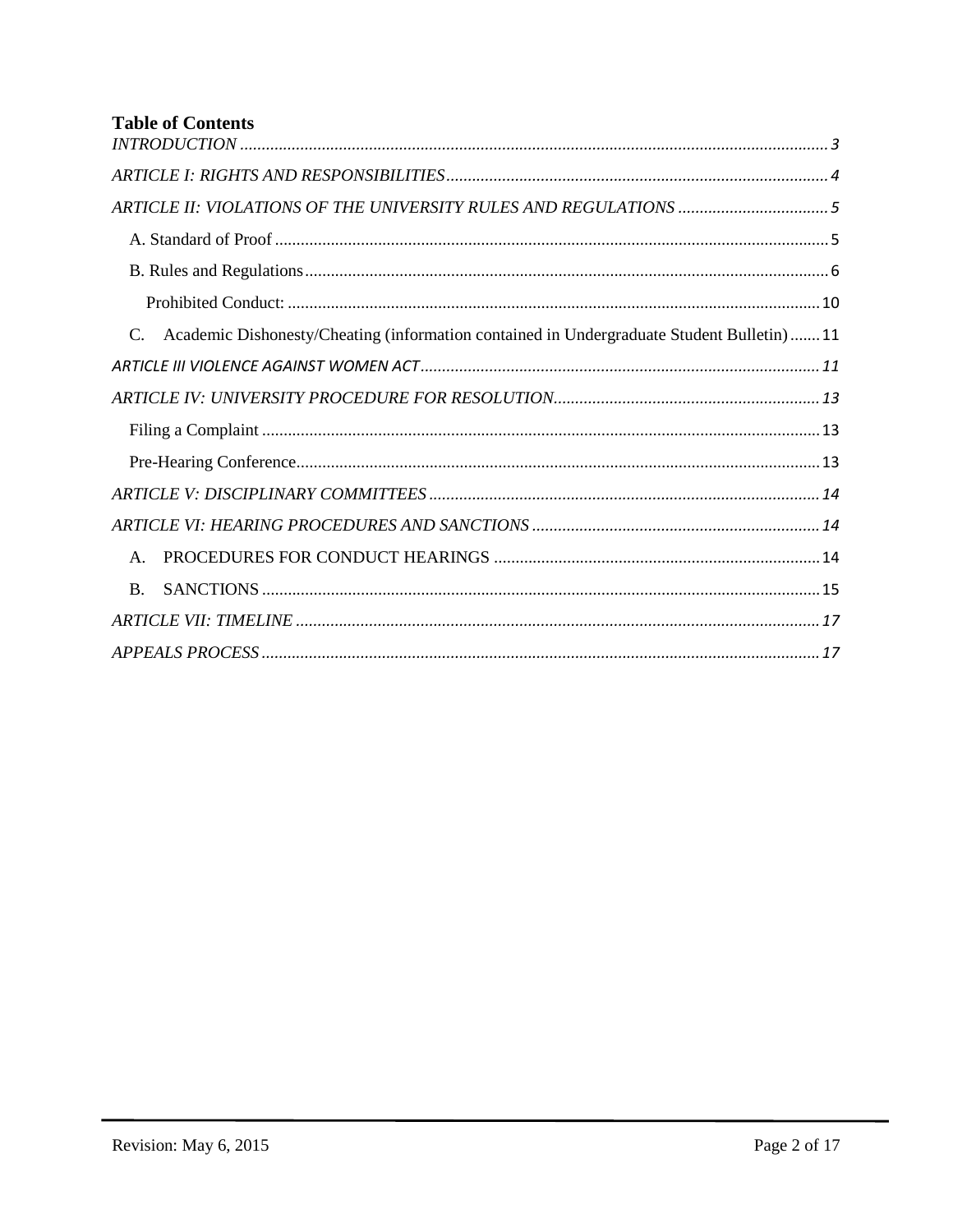# **Table of Contents**

| ARTICLE II: VIOLATIONS OF THE UNIVERSITY RULES AND REGULATIONS 5                         |
|------------------------------------------------------------------------------------------|
|                                                                                          |
|                                                                                          |
|                                                                                          |
| Academic Dishonesty/Cheating (information contained in Undergraduate Student Bulletin)11 |
|                                                                                          |
|                                                                                          |
|                                                                                          |
|                                                                                          |
|                                                                                          |
|                                                                                          |
| $\mathsf{A}$ .                                                                           |
| <b>B.</b>                                                                                |
|                                                                                          |
|                                                                                          |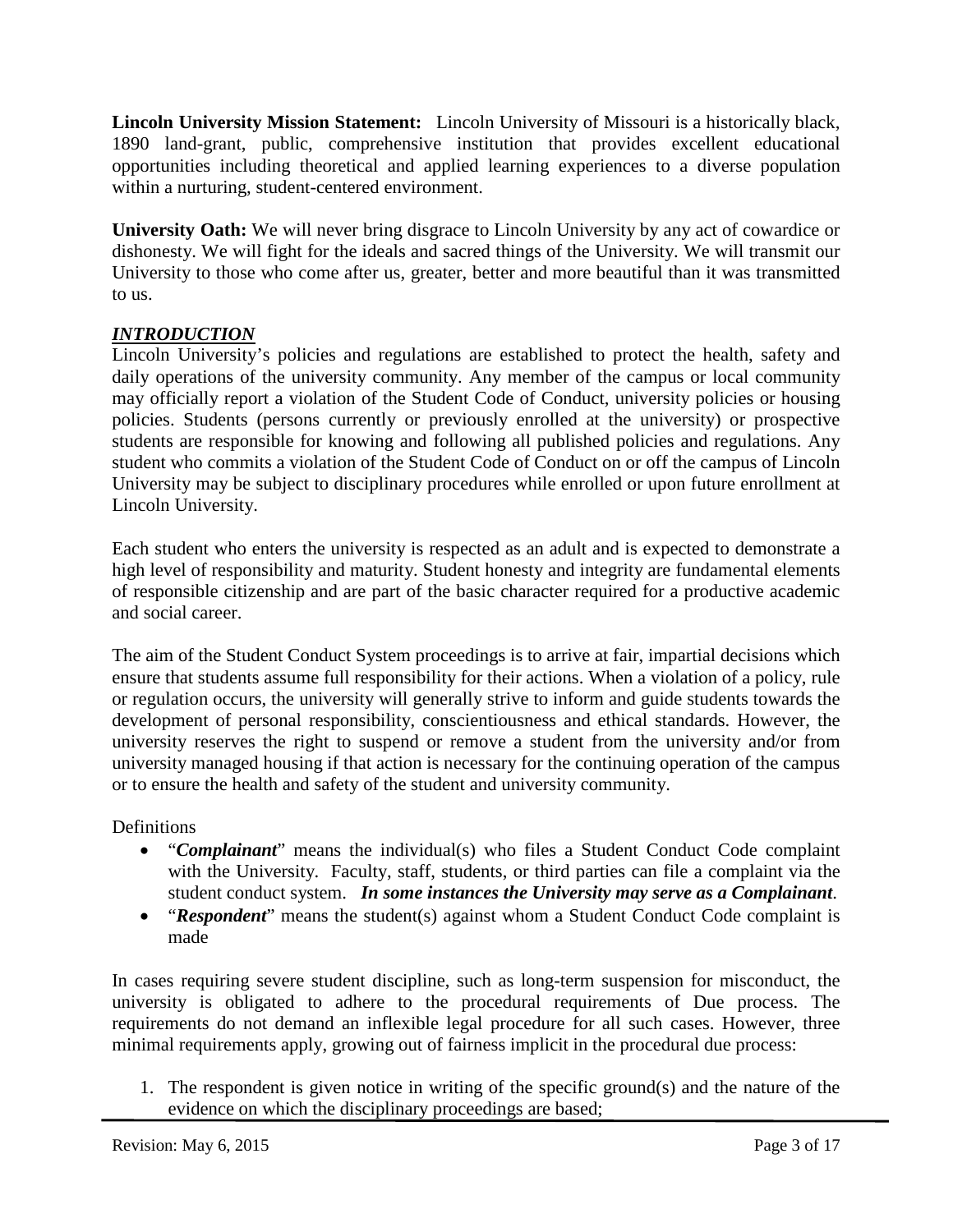**Lincoln University Mission Statement:** Lincoln University of Missouri is a historically black, 1890 land-grant, public, comprehensive institution that provides excellent educational opportunities including theoretical and applied learning experiences to a diverse population within a nurturing, student-centered environment.

**University Oath:** We will never bring disgrace to Lincoln University by any act of cowardice or dishonesty. We will fight for the ideals and sacred things of the University. We will transmit our University to those who come after us, greater, better and more beautiful than it was transmitted to us.

# <span id="page-2-0"></span>*INTRODUCTION*

Lincoln University's policies and regulations are established to protect the health, safety and daily operations of the university community. Any member of the campus or local community may officially report a violation of the Student Code of Conduct, university policies or housing policies. Students (persons currently or previously enrolled at the university) or prospective students are responsible for knowing and following all published policies and regulations. Any student who commits a violation of the Student Code of Conduct on or off the campus of Lincoln University may be subject to disciplinary procedures while enrolled or upon future enrollment at Lincoln University.

Each student who enters the university is respected as an adult and is expected to demonstrate a high level of responsibility and maturity. Student honesty and integrity are fundamental elements of responsible citizenship and are part of the basic character required for a productive academic and social career.

The aim of the Student Conduct System proceedings is to arrive at fair, impartial decisions which ensure that students assume full responsibility for their actions. When a violation of a policy, rule or regulation occurs, the university will generally strive to inform and guide students towards the development of personal responsibility, conscientiousness and ethical standards. However, the university reserves the right to suspend or remove a student from the university and/or from university managed housing if that action is necessary for the continuing operation of the campus or to ensure the health and safety of the student and university community.

# Definitions

- "*Complainant*" means the individual(s) who files a Student Conduct Code complaint with the University. Faculty, staff, students, or third parties can file a complaint via the student conduct system. *In some instances the University may serve as a Complainant*.
- "*Respondent*" means the student(s) against whom a Student Conduct Code complaint is made

In cases requiring severe student discipline, such as long-term suspension for misconduct, the university is obligated to adhere to the procedural requirements of Due process. The requirements do not demand an inflexible legal procedure for all such cases. However, three minimal requirements apply, growing out of fairness implicit in the procedural due process:

1. The respondent is given notice in writing of the specific ground(s) and the nature of the evidence on which the disciplinary proceedings are based;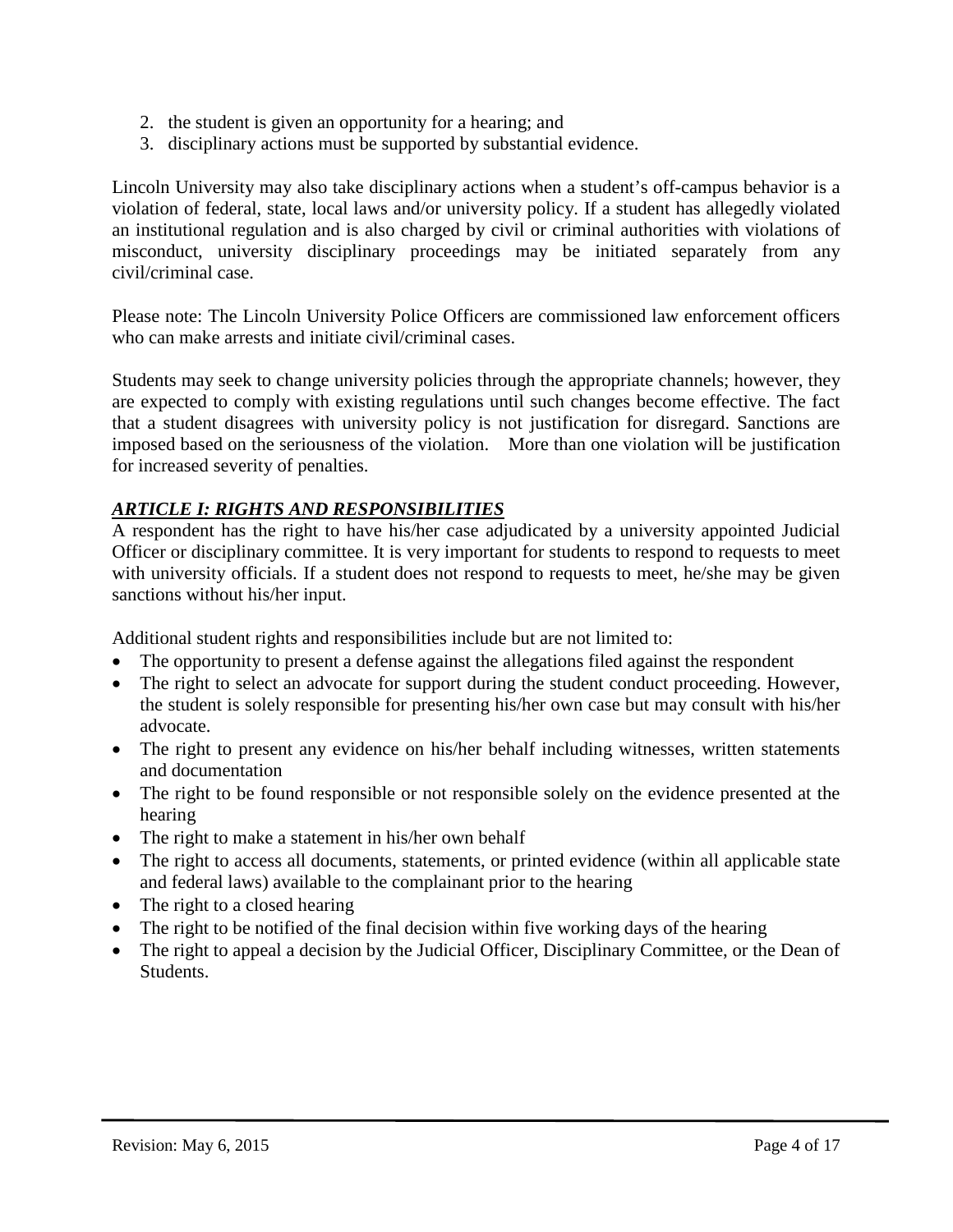- 2. the student is given an opportunity for a hearing; and
- 3. disciplinary actions must be supported by substantial evidence.

Lincoln University may also take disciplinary actions when a student's off-campus behavior is a violation of federal, state, local laws and/or university policy. If a student has allegedly violated an institutional regulation and is also charged by civil or criminal authorities with violations of misconduct, university disciplinary proceedings may be initiated separately from any civil/criminal case.

Please note: The Lincoln University Police Officers are commissioned law enforcement officers who can make arrests and initiate civil/criminal cases.

Students may seek to change university policies through the appropriate channels; however, they are expected to comply with existing regulations until such changes become effective. The fact that a student disagrees with university policy is not justification for disregard. Sanctions are imposed based on the seriousness of the violation. More than one violation will be justification for increased severity of penalties.

# <span id="page-3-0"></span>*ARTICLE I: RIGHTS AND RESPONSIBILITIES*

A respondent has the right to have his/her case adjudicated by a university appointed Judicial Officer or disciplinary committee. It is very important for students to respond to requests to meet with university officials. If a student does not respond to requests to meet, he/she may be given sanctions without his/her input.

Additional student rights and responsibilities include but are not limited to:

- The opportunity to present a defense against the allegations filed against the respondent
- The right to select an advocate for support during the student conduct proceeding. However, the student is solely responsible for presenting his/her own case but may consult with his/her advocate.
- The right to present any evidence on his/her behalf including witnesses, written statements and documentation
- The right to be found responsible or not responsible solely on the evidence presented at the hearing
- The right to make a statement in his/her own behalf
- The right to access all documents, statements, or printed evidence (within all applicable state and federal laws) available to the complainant prior to the hearing
- The right to a closed hearing
- The right to be notified of the final decision within five working days of the hearing
- The right to appeal a decision by the Judicial Officer, Disciplinary Committee, or the Dean of Students.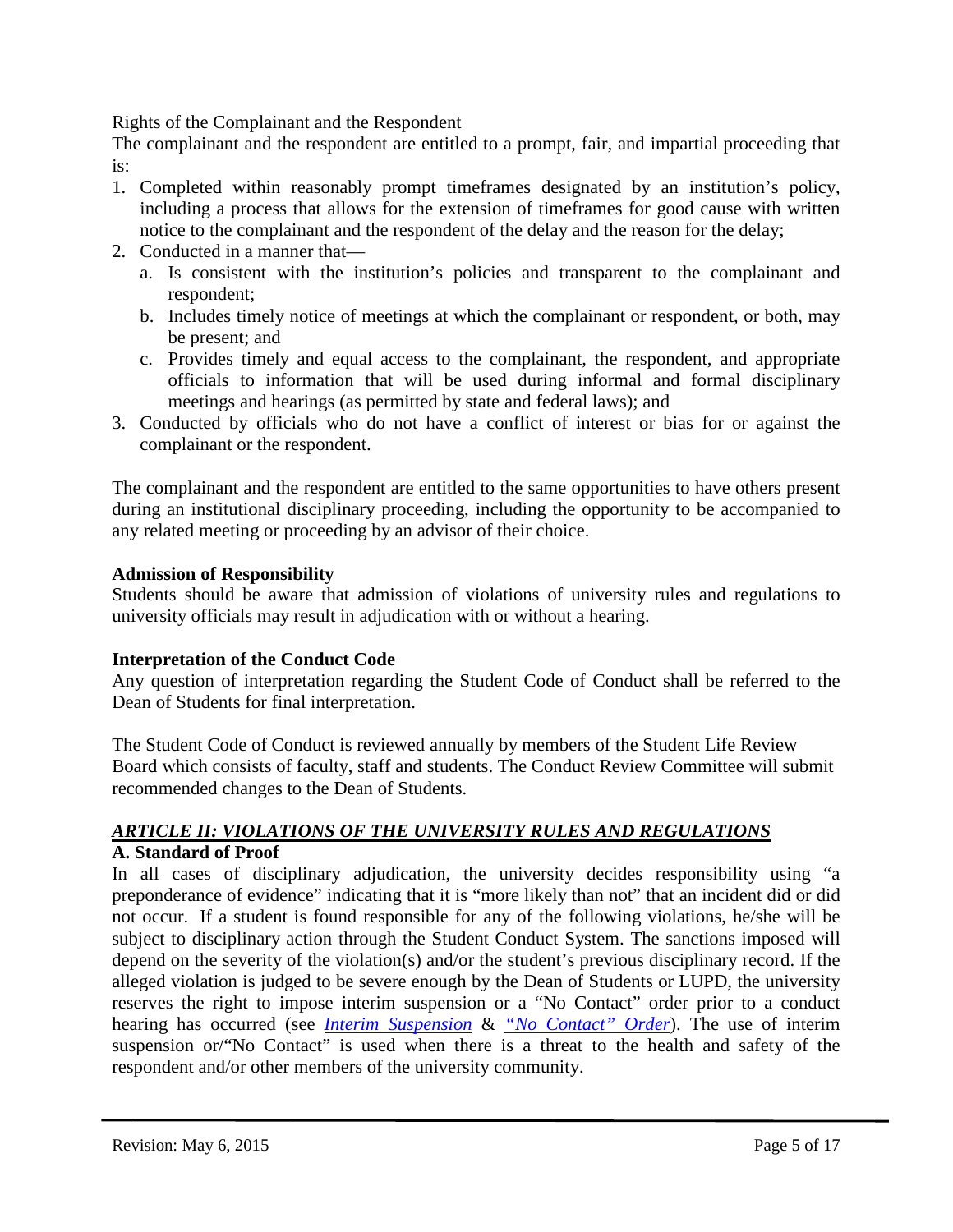Rights of the Complainant and the Respondent

The complainant and the respondent are entitled to a prompt, fair, and impartial proceeding that is:

- 1. Completed within reasonably prompt timeframes designated by an institution's policy, including a process that allows for the extension of timeframes for good cause with written notice to the complainant and the respondent of the delay and the reason for the delay;
- 2. Conducted in a manner that
	- a. Is consistent with the institution's policies and transparent to the complainant and respondent;
	- b. Includes timely notice of meetings at which the complainant or respondent, or both, may be present; and
	- c. Provides timely and equal access to the complainant, the respondent, and appropriate officials to information that will be used during informal and formal disciplinary meetings and hearings (as permitted by state and federal laws); and
- 3. Conducted by officials who do not have a conflict of interest or bias for or against the complainant or the respondent.

The complainant and the respondent are entitled to the same opportunities to have others present during an institutional disciplinary proceeding, including the opportunity to be accompanied to any related meeting or proceeding by an advisor of their choice.

# **Admission of Responsibility**

Students should be aware that admission of violations of university rules and regulations to university officials may result in adjudication with or without a hearing.

# **Interpretation of the Conduct Code**

Any question of interpretation regarding the Student Code of Conduct shall be referred to the Dean of Students for final interpretation.

The Student Code of Conduct is reviewed annually by members of the Student Life Review Board which consists of faculty, staff and students. The Conduct Review Committee will submit recommended changes to the Dean of Students.

# <span id="page-4-1"></span><span id="page-4-0"></span>*ARTICLE II: VIOLATIONS OF THE UNIVERSITY RULES AND REGULATIONS* **A. Standard of Proof**

In all cases of disciplinary adjudication, the university decides responsibility using "a preponderance of evidence" indicating that it is "more likely than not" that an incident did or did not occur. If a student is found responsible for any of the following violations, he/she will be subject to disciplinary action through the Student Conduct System. The sanctions imposed will depend on the severity of the violation(s) and/or the student's previous disciplinary record. If the alleged violation is judged to be severe enough by the Dean of Students or LUPD, the university reserves the right to impose interim suspension or a "No Contact" order prior to a conduct hearing has occurred (see *[Interim Suspension](#page-15-0)* & *["No Contact"](#page-15-1) Order*). The use of interim suspension or/"No Contact" is used when there is a threat to the health and safety of the respondent and/or other members of the university community.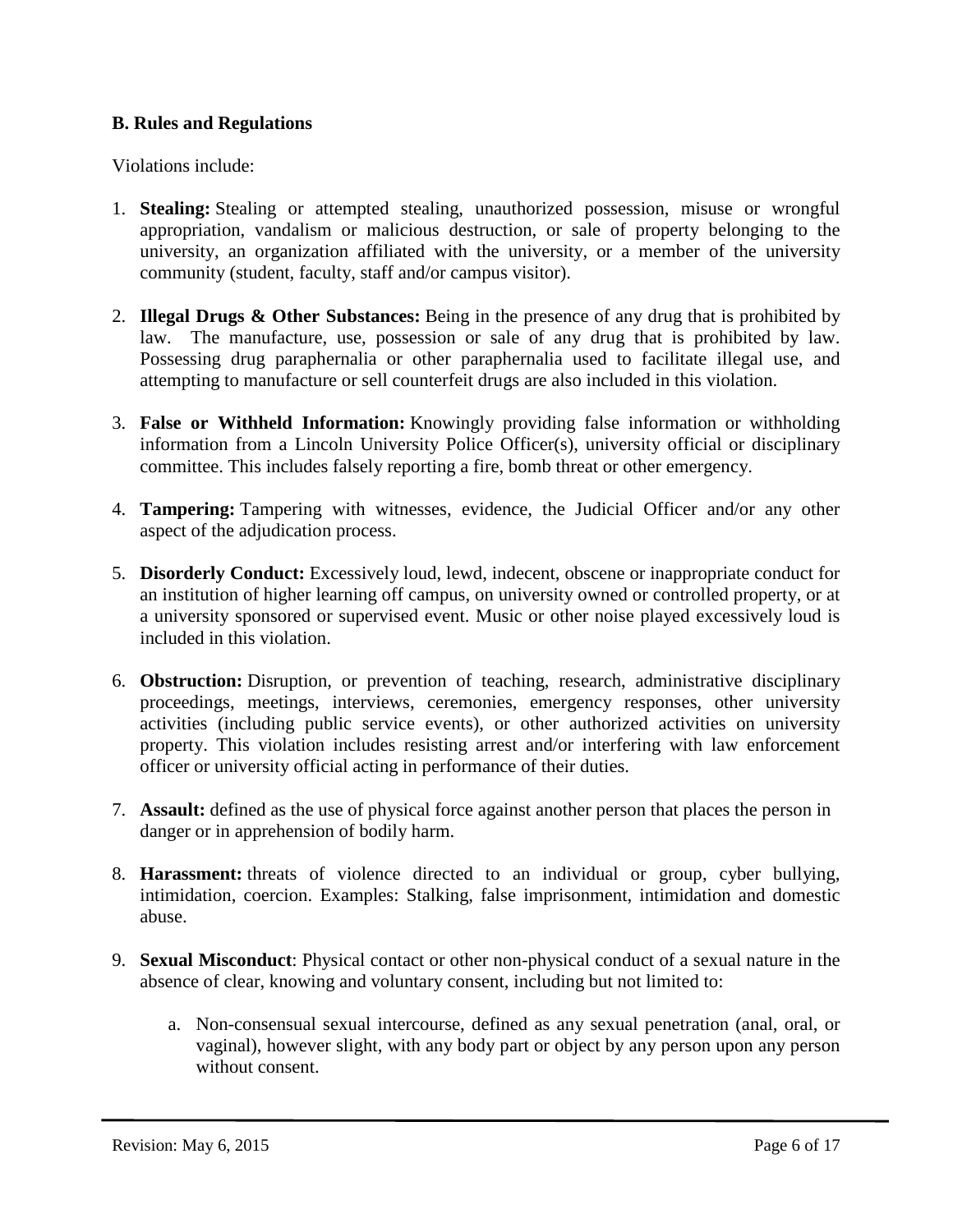# <span id="page-5-0"></span>**B. Rules and Regulations**

Violations include:

- 1. **Stealing:** Stealing or attempted stealing, unauthorized possession, misuse or wrongful appropriation, vandalism or malicious destruction, or sale of property belonging to the university, an organization affiliated with the university, or a member of the university community (student, faculty, staff and/or campus visitor).
- 2. **Illegal Drugs & Other Substances:** Being in the presence of any drug that is prohibited by law. The manufacture, use, possession or sale of any drug that is prohibited by law. Possessing drug paraphernalia or other paraphernalia used to facilitate illegal use, and attempting to manufacture or sell counterfeit drugs are also included in this violation.
- 3. **False or Withheld Information:** Knowingly providing false information or withholding information from a Lincoln University Police Officer(s), university official or disciplinary committee. This includes falsely reporting a fire, bomb threat or other emergency.
- 4. **Tampering:** Tampering with witnesses, evidence, the Judicial Officer and/or any other aspect of the adjudication process.
- 5. **Disorderly Conduct:** Excessively loud, lewd, indecent, obscene or inappropriate conduct for an institution of higher learning off campus, on university owned or controlled property, or at a university sponsored or supervised event. Music or other noise played excessively loud is included in this violation.
- 6. **Obstruction:** Disruption, or prevention of teaching, research, administrative disciplinary proceedings, meetings, interviews, ceremonies, emergency responses, other university activities (including public service events), or other authorized activities on university property. This violation includes resisting arrest and/or interfering with law enforcement officer or university official acting in performance of their duties.
- 7. **Assault:** defined as the use of physical force against another person that places the person in danger or in apprehension of bodily harm.
- 8. **Harassment:** threats of violence directed to an individual or group, cyber bullying, intimidation, coercion. Examples: Stalking, false imprisonment, intimidation and domestic abuse.
- 9. **Sexual Misconduct**: Physical contact or other non-physical conduct of a sexual nature in the absence of clear, knowing and voluntary consent, including but not limited to:
	- a. Non-consensual sexual intercourse, defined as any sexual penetration (anal, oral, or vaginal), however slight, with any body part or object by any person upon any person without consent.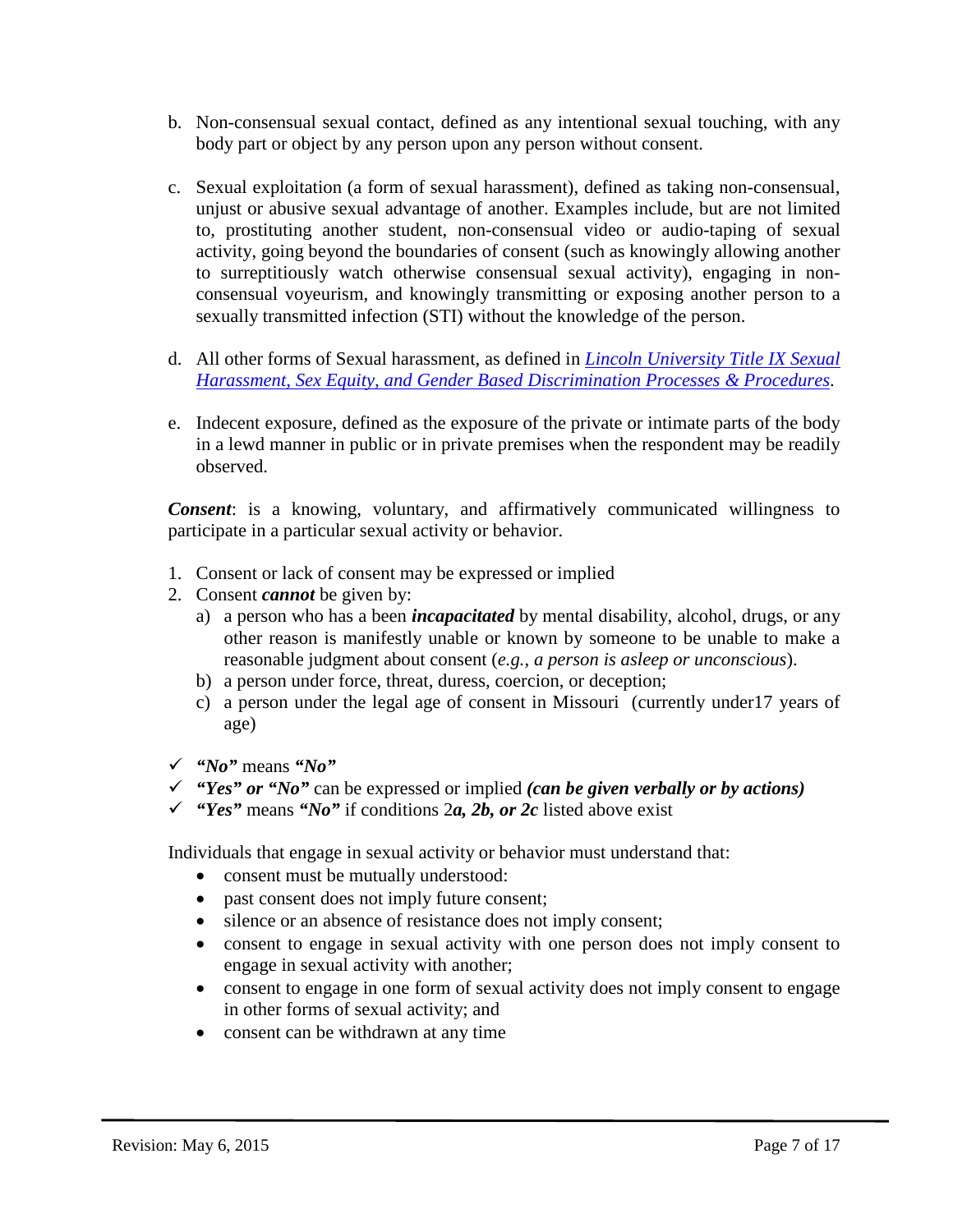- b. Non-consensual sexual contact, defined as any intentional sexual touching, with any body part or object by any person upon any person without consent.
- c. Sexual exploitation (a form of sexual harassment), defined as taking non-consensual, unjust or abusive sexual advantage of another. Examples include, but are not limited to, prostituting another student, non-consensual video or audio-taping of sexual activity, going beyond the boundaries of consent (such as knowingly allowing another to surreptitiously watch otherwise consensual sexual activity), engaging in nonconsensual voyeurism, and knowingly transmitting or exposing another person to a sexually transmitted infection (STI) without the knowledge of the person.
- d. All other forms of Sexual harassment, as defined in *[Lincoln University Title IX Sexual](https://bluetigerportal.lincolnu.edu/web/police-department/title-ix-processes-and-procedures)  [Harassment, Sex Equity, and Gender Based Discrimination Processes & Procedures](https://bluetigerportal.lincolnu.edu/web/police-department/title-ix-processes-and-procedures)*.
- e. Indecent exposure, defined as the exposure of the private or intimate parts of the body in a lewd manner in public or in private premises when the respondent may be readily observed.

*Consent*: is a knowing, voluntary, and affirmatively communicated willingness to participate in a particular sexual activity or behavior.

- 1. Consent or lack of consent may be expressed or implied
- 2. Consent *cannot* be given by:
	- a) a person who has a been *incapacitated* by mental disability, alcohol, drugs, or any other reason is manifestly unable or known by someone to be unable to make a reasonable judgment about consent (*e.g., a person is asleep or unconscious*).
	- b) a person under force, threat, duress, coercion, or deception;
	- c) a person under the legal age of consent in Missouri (currently under17 years of age)
- *"No"* means *"No"*
- *"Yes" or "No"* can be expressed or implied *(can be given verbally or by actions)*
- $\checkmark$  "Yes" means "No" if conditions 2*a*, 2*b*, or 2*c* listed above exist

Individuals that engage in sexual activity or behavior must understand that:

- consent must be mutually understood:
- past consent does not imply future consent;
- silence or an absence of resistance does not imply consent;
- consent to engage in sexual activity with one person does not imply consent to engage in sexual activity with another;
- consent to engage in one form of sexual activity does not imply consent to engage in other forms of sexual activity; and
- consent can be withdrawn at any time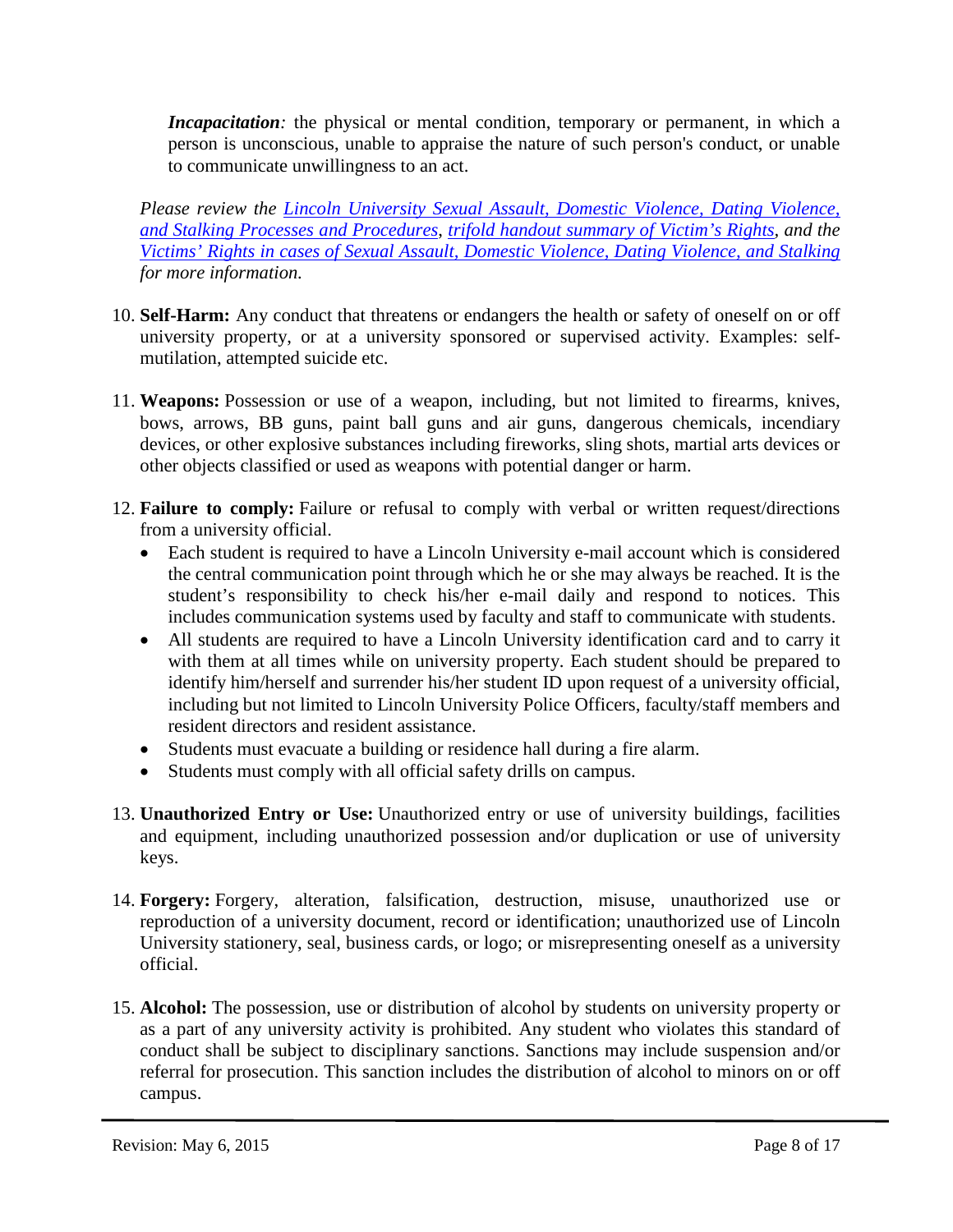*Incapacitation*: the physical or mental condition, temporary or permanent, in which a person is unconscious, unable to appraise the nature of such person's conduct, or unable to communicate unwillingness to an act.

*Please review the [Lincoln University Sexual Assault, Domestic Violence, Dating Violence,](https://bluetigerportal.lincolnu.edu/c/document_library/get_file?p_l_id=142227&folderId=2878707&name=DLFE-21701.pdf)  and Stalking [Processes and Procedures](https://bluetigerportal.lincolnu.edu/c/document_library/get_file?p_l_id=142227&folderId=2878707&name=DLFE-21701.pdf)*, *[trifold handout summary of Victim's Rights,](https://bluetigerportal.lincolnu.edu/c/document_library/get_file?uuid=62174253-9972-4308-8597-3d6b4e7bc3e8&groupId=23376) and the [Victims' Rights in cases of Sexual Assault, Domestic Violence, Dating Violence, and Stalking](https://bluetigerportal.lincolnu.edu/c/document_library/get_file?uuid=2faf63c1-08d9-468e-8b59-44f602b18598&groupId=23376) for more information.*

- 10. **Self-Harm:** Any conduct that threatens or endangers the health or safety of oneself on or off university property, or at a university sponsored or supervised activity. Examples: selfmutilation, attempted suicide etc.
- <span id="page-7-0"></span>11. **Weapons:** Possession or use of a weapon, including, but not limited to firearms, knives, bows, arrows, BB guns, paint ball guns and air guns, dangerous chemicals, incendiary devices, or other explosive substances including fireworks, sling shots, martial arts devices or other objects classified or used as weapons with potential danger or harm.
- 12. **Failure to comply:** Failure or refusal to comply with verbal or written request/directions from a university official.
	- Each student is required to have a Lincoln University e-mail account which is considered the central communication point through which he or she may always be reached. It is the student's responsibility to check his/her e-mail daily and respond to notices. This includes communication systems used by faculty and staff to communicate with students.
	- All students are required to have a Lincoln University identification card and to carry it with them at all times while on university property. Each student should be prepared to identify him/herself and surrender his/her student ID upon request of a university official, including but not limited to Lincoln University Police Officers, faculty/staff members and resident directors and resident assistance.
	- Students must evacuate a building or residence hall during a fire alarm.
	- Students must comply with all official safety drills on campus.
- 13. **Unauthorized Entry or Use:** Unauthorized entry or use of university buildings, facilities and equipment, including unauthorized possession and/or duplication or use of university keys.
- 14. **Forgery:** Forgery, alteration, falsification, destruction, misuse, unauthorized use or reproduction of a university document, record or identification; unauthorized use of Lincoln University stationery, seal, business cards, or logo; or misrepresenting oneself as a university official.
- 15. **Alcohol:** The possession, use or distribution of alcohol by students on university property or as a part of any university activity is prohibited. Any student who violates this standard of conduct shall be subject to disciplinary sanctions. Sanctions may include suspension and/or referral for prosecution. This sanction includes the distribution of alcohol to minors on or off campus.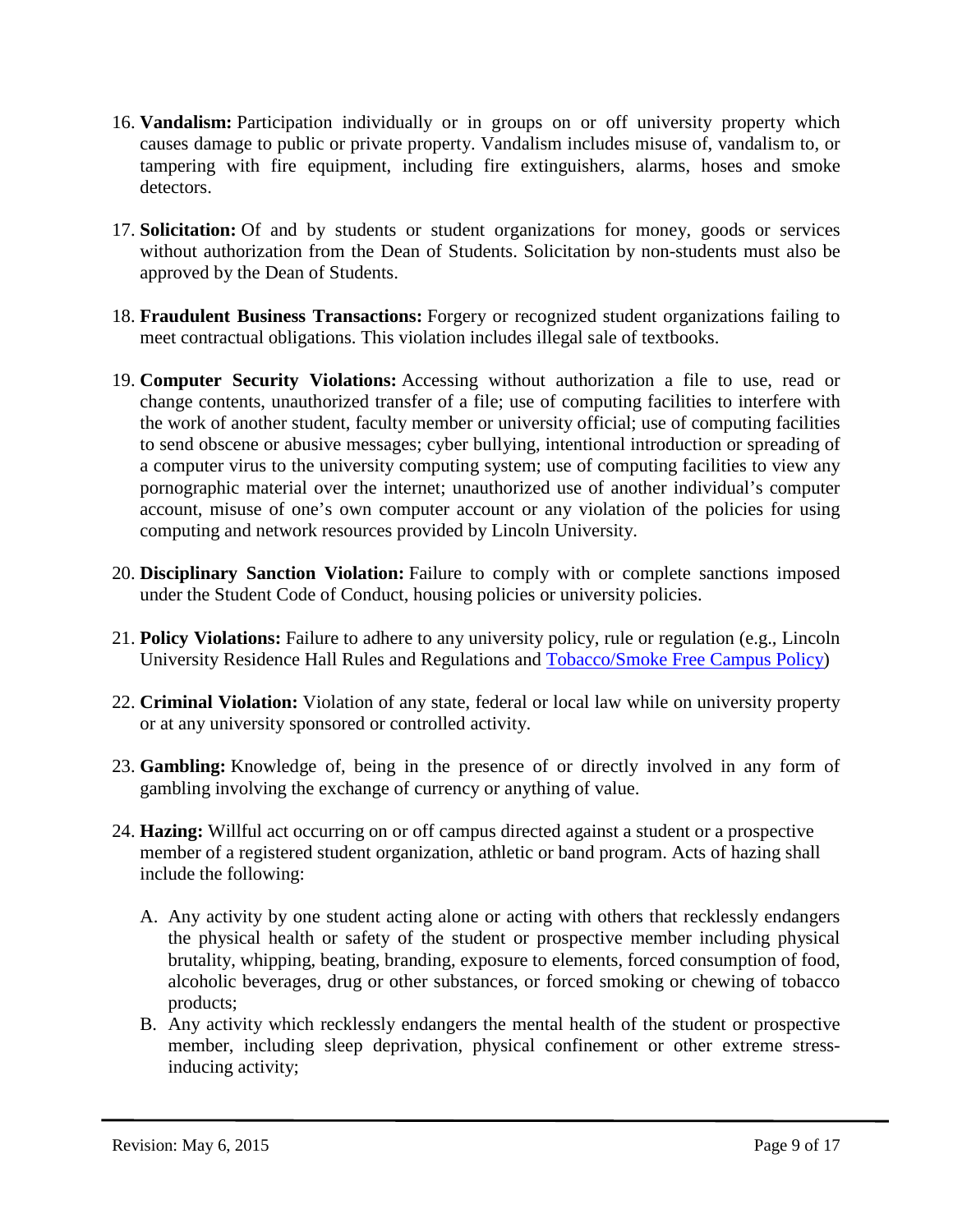- 16. **Vandalism:** Participation individually or in groups on or off university property which causes damage to public or private property. Vandalism includes misuse of, vandalism to, or tampering with fire equipment, including fire extinguishers, alarms, hoses and smoke detectors.
- 17. **Solicitation:** Of and by students or student organizations for money, goods or services without authorization from the Dean of Students. Solicitation by non-students must also be approved by the Dean of Students.
- 18. **Fraudulent Business Transactions:** Forgery or recognized student organizations failing to meet contractual obligations. This violation includes illegal sale of textbooks.
- 19. **Computer Security Violations:** Accessing without authorization a file to use, read or change contents, unauthorized transfer of a file; use of computing facilities to interfere with the work of another student, faculty member or university official; use of computing facilities to send obscene or abusive messages; cyber bullying, intentional introduction or spreading of a computer virus to the university computing system; use of computing facilities to view any pornographic material over the internet; unauthorized use of another individual's computer account, misuse of one's own computer account or any violation of the policies for using computing and network resources provided by Lincoln University.
- 20. **Disciplinary Sanction Violation:** Failure to comply with or complete sanctions imposed under the Student Code of Conduct, housing policies or university policies.
- 21. **Policy Violations:** Failure to adhere to any university policy, rule or regulation (e.g., Lincoln University Residence Hall Rules and Regulations and [Tobacco/Smoke Free Campus Policy\)](https://bluetigerportal.lincolnu.edu/web/thompkins-health-center/policy)
- 22. **Criminal Violation:** Violation of any state, federal or local law while on university property or at any university sponsored or controlled activity.
- 23. **Gambling:** Knowledge of, being in the presence of or directly involved in any form of gambling involving the exchange of currency or anything of value.
- 24. **Hazing:** Willful act occurring on or off campus directed against a student or a prospective member of a registered student organization, athletic or band program. Acts of hazing shall include the following:
	- A. Any activity by one student acting alone or acting with others that recklessly endangers the physical health or safety of the student or prospective member including physical brutality, whipping, beating, branding, exposure to elements, forced consumption of food, alcoholic beverages, drug or other substances, or forced smoking or chewing of tobacco products;
	- B. Any activity which recklessly endangers the mental health of the student or prospective member, including sleep deprivation, physical confinement or other extreme stressinducing activity;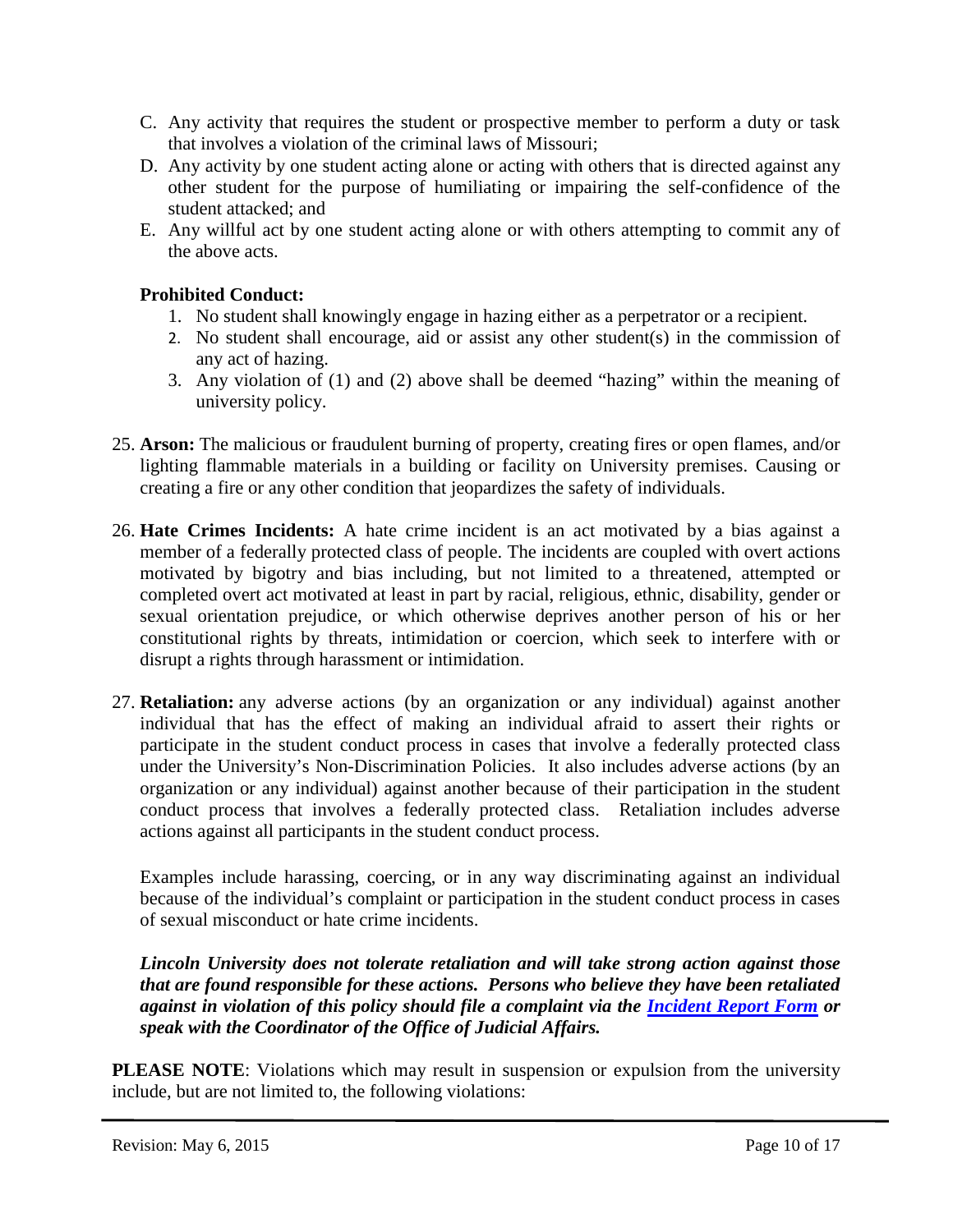- C. Any activity that requires the student or prospective member to perform a duty or task that involves a violation of the criminal laws of Missouri;
- D. Any activity by one student acting alone or acting with others that is directed against any other student for the purpose of humiliating or impairing the self-confidence of the student attacked; and
- E. Any willful act by one student acting alone or with others attempting to commit any of the above acts.

# <span id="page-9-0"></span>**Prohibited Conduct:**

- 1. No student shall knowingly engage in hazing either as a perpetrator or a recipient.
- 2. No student shall encourage, aid or assist any other student(s) in the commission of any act of hazing.
- 3. Any violation of (1) and (2) above shall be deemed "hazing" within the meaning of university policy.
- 25. **Arson:** The malicious or fraudulent burning of property, creating fires or open flames, and/or lighting flammable materials in a building or facility on University premises. Causing or creating a fire or any other condition that jeopardizes the safety of individuals.
- 26. **Hate Crimes Incidents:** A hate crime incident is an act motivated by a bias against a member of a federally protected class of people. The incidents are coupled with overt actions motivated by bigotry and bias including, but not limited to a threatened, attempted or completed overt act motivated at least in part by racial, religious, ethnic, disability, gender or sexual orientation prejudice, or which otherwise deprives another person of his or her constitutional rights by threats, intimidation or coercion, which seek to interfere with or disrupt a rights through harassment or intimidation.
- 27. **Retaliation:** any adverse actions (by an organization or any individual) against another individual that has the effect of making an individual afraid to assert their rights or participate in the student conduct process in cases that involve a federally protected class under the University's Non-Discrimination Policies. It also includes adverse actions (by an organization or any individual) against another because of their participation in the student conduct process that involves a federally protected class. Retaliation includes adverse actions against all participants in the student conduct process.

Examples include harassing, coercing, or in any way discriminating against an individual because of the individual's complaint or participation in the student conduct process in cases of sexual misconduct or hate crime incidents.

*Lincoln University does not tolerate retaliation and will take strong action against those that are found responsible for these actions. Persons who believe they have been retaliated against in violation of this policy should file a complaint via the [Incident Report Form](https://www.formstack.com/forms/LU_MO-irf) or speak with the Coordinator of the Office of Judicial Affairs.*

**PLEASE NOTE:** Violations which may result in suspension or expulsion from the university include, but are not limited to, the following violations: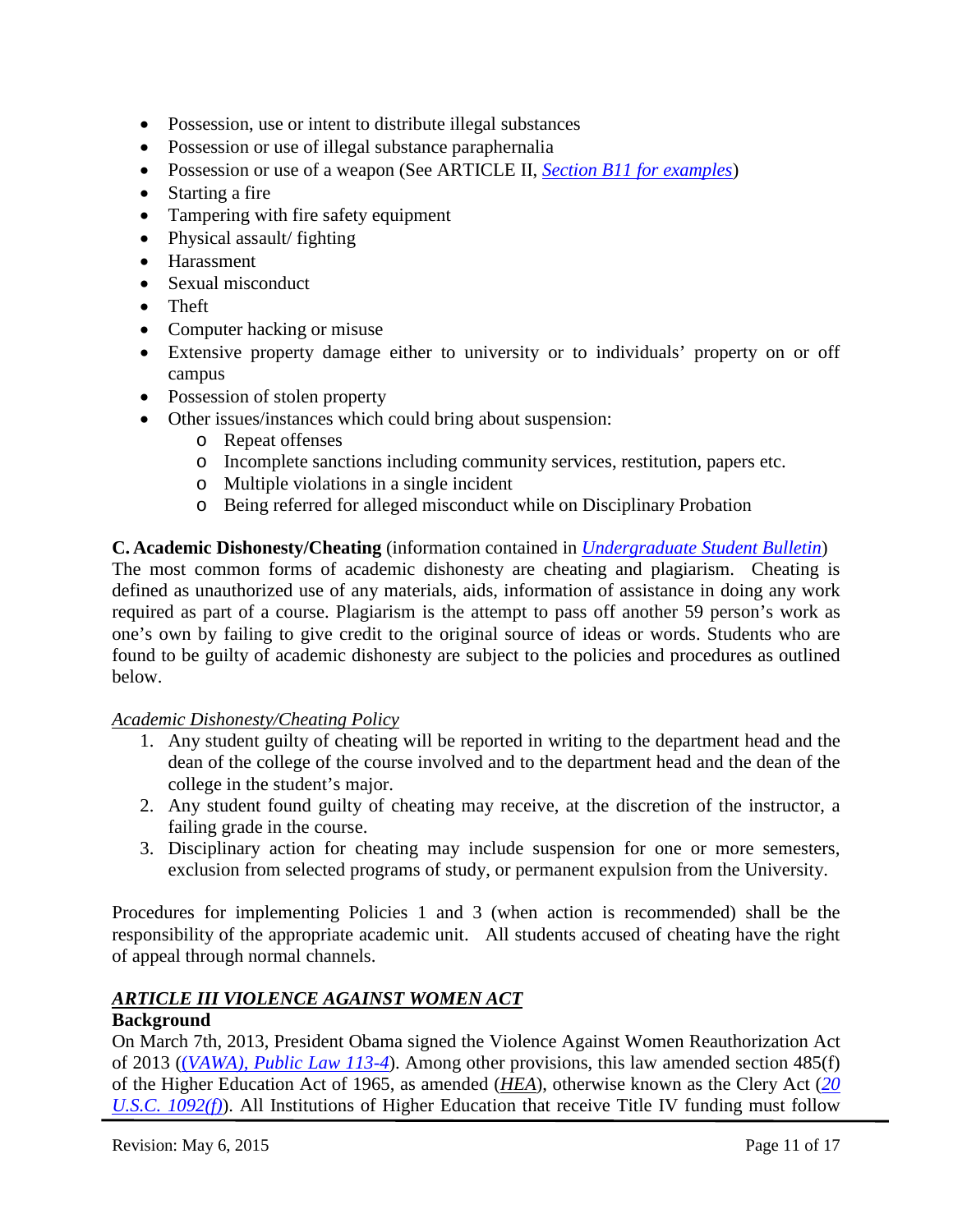- Possession, use or intent to distribute illegal substances
- Possession or use of illegal substance paraphernalia
- Possession or use of a weapon (See ARTICLE II, *Section B11 [for examples](#page-7-0)*)
- Starting a fire
- Tampering with fire safety equipment
- Physical assault/ fighting
- Harassment
- Sexual misconduct
- Theft
- Computer hacking or misuse
- Extensive property damage either to university or to individuals' property on or off campus
- Possession of stolen property
- Other issues/instances which could bring about suspension:
	- o Repeat offenses
	- o Incomplete sanctions including community services, restitution, papers etc.
	- o Multiple violations in a single incident
	- o Being referred for alleged misconduct while on Disciplinary Probation

# <span id="page-10-0"></span>**C. Academic Dishonesty/Cheating** (information contained in *[Undergraduate Student Bulletin](http://www.lincolnu.edu/c/document_library/get_file?uuid=c36eec2b-cfa2-44ed-9961-c173f5afc72d&groupId=24732)*)

The most common forms of academic dishonesty are cheating and plagiarism. Cheating is defined as unauthorized use of any materials, aids, information of assistance in doing any work required as part of a course. Plagiarism is the attempt to pass off another 59 person's work as one's own by failing to give credit to the original source of ideas or words. Students who are found to be guilty of academic dishonesty are subject to the policies and procedures as outlined below.

# *Academic Dishonesty/Cheating Policy*

- 1. Any student guilty of cheating will be reported in writing to the department head and the dean of the college of the course involved and to the department head and the dean of the college in the student's major.
- 2. Any student found guilty of cheating may receive, at the discretion of the instructor, a failing grade in the course.
- 3. Disciplinary action for cheating may include suspension for one or more semesters, exclusion from selected programs of study, or permanent expulsion from the University.

Procedures for implementing Policies 1 and 3 (when action is recommended) shall be the responsibility of the appropriate academic unit. All students accused of cheating have the right of appeal through normal channels.

# <span id="page-10-1"></span>*ARTICLE III VIOLENCE AGAINST WOMEN ACT*

# **Background**

On March 7th, 2013, President Obama signed the Violence Against Women Reauthorization Act of 2013 ((*[VAWA\), Public Law 113-4](http://www.gpo.gov/fdsys/pkg/PLAW-113publ4/pdf/PLAW-113publ4.pdf)*). Among other provisions, this law amended section 485(f) of the Higher Education Act of 1965, as amended (*[HEA](http://www.gpo.gov/fdsys/pkg/PLAW-110publ315/pdf/PLAW-110publ315.pdf)*), otherwise known as the Clery Act (*[20](http://www.gpo.gov/fdsys/pkg/USCODE-2011-title20/html/USCODE-2011-title20-chap28-subchapIV-partF-sec1092.htm)  [U.S.C. 1092\(f\)](http://www.gpo.gov/fdsys/pkg/USCODE-2011-title20/html/USCODE-2011-title20-chap28-subchapIV-partF-sec1092.htm)*). All Institutions of Higher Education that receive Title IV funding must follow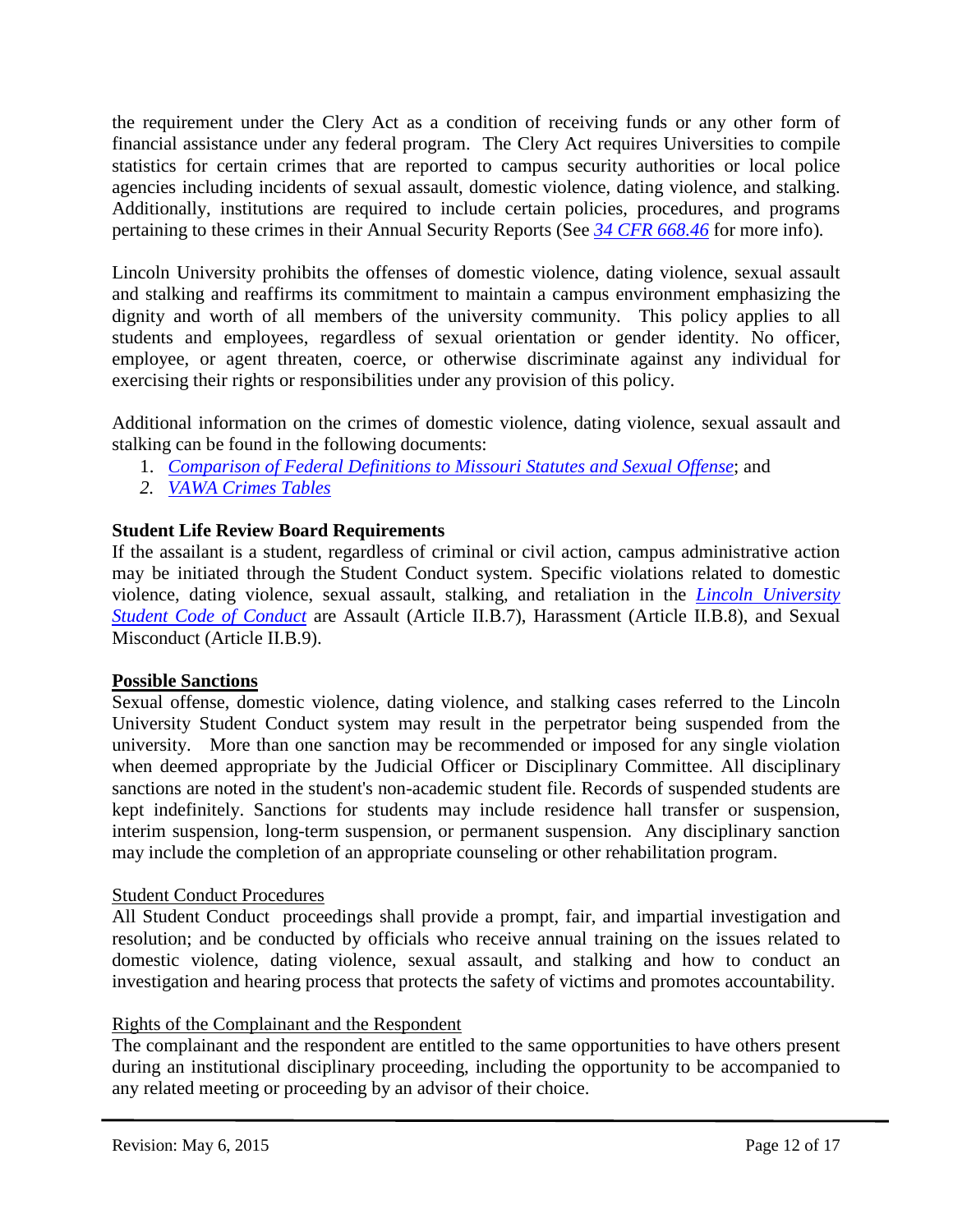the requirement under the Clery Act as a condition of receiving funds or any other form of financial assistance under any federal program. The Clery Act requires Universities to compile statistics for certain crimes that are reported to campus security authorities or local police agencies including incidents of sexual assault, domestic violence, dating violence, and stalking. Additionally, institutions are required to include certain policies, procedures, and programs pertaining to these crimes in their Annual Security Reports (See *[34 CFR 668.46](http://www.gpo.gov/fdsys/pkg/CFR-2011-title34-vol3/xml/CFR-2011-title34-vol3-sec668-46.xml)* for more info)*.* 

Lincoln University prohibits the offenses of domestic violence, dating violence, sexual assault and stalking and reaffirms its commitment to maintain a campus environment emphasizing the dignity and worth of all members of the university community. This policy applies to all students and employees, regardless of sexual orientation or gender identity. No officer, employee, or agent threaten, coerce, or otherwise discriminate against any individual for exercising their rights or responsibilities under any provision of this policy.

Additional information on the crimes of domestic violence, dating violence, sexual assault and stalking can be found in the following documents:

- 1. *[Comparison of Federal Definitions to Missouri Statutes and Sexual Offense](https://bluetigerportal.lincolnu.edu/c/document_library/get_file?uuid=52e394b0-7e10-4ad2-966c-f9131eb5aa22&groupId=23376)*; and
- *2. [VAWA Crimes Tables](https://bluetigerportal.lincolnu.edu/c/document_library/get_file?p_l_id=142227&folderId=2878707&name=DLFE-19208.pdf)*

# **Student Life Review Board Requirements**

If the assailant is a student, regardless of criminal or civil action, campus administrative action may be initiated through the Student Conduct system. Specific violations related to domestic violence, dating violence, sexual assault, stalking, and retaliation in the *[Lincoln University](https://bluetigerportal.lincolnu.edu/web/police-department/student-conduct-code)  [Student Code of Conduct](https://bluetigerportal.lincolnu.edu/web/police-department/student-conduct-code)* are Assault (Article II.B.7), Harassment (Article II.B.8), and Sexual Misconduct (Article II.B.9).

# **Possible Sanctions**

Sexual offense, domestic violence, dating violence, and stalking cases referred to the Lincoln University Student Conduct system may result in the perpetrator being suspended from the university. More than one sanction may be recommended or imposed for any single violation when deemed appropriate by the Judicial Officer or Disciplinary Committee. All disciplinary sanctions are noted in the student's non-academic student file. Records of suspended students are kept indefinitely. Sanctions for students may include residence hall transfer or suspension, interim suspension, long-term suspension, or permanent suspension. Any disciplinary sanction may include the completion of an appropriate counseling or other rehabilitation program.

# Student Conduct Procedures

All Student Conduct proceedings shall provide a prompt, fair, and impartial investigation and resolution; and be conducted by officials who receive annual training on the issues related to domestic violence, dating violence, sexual assault, and stalking and how to conduct an investigation and hearing process that protects the safety of victims and promotes accountability.

# Rights of the Complainant and the Respondent

The complainant and the respondent are entitled to the same opportunities to have others present during an institutional disciplinary proceeding, including the opportunity to be accompanied to any related meeting or proceeding by an advisor of their choice.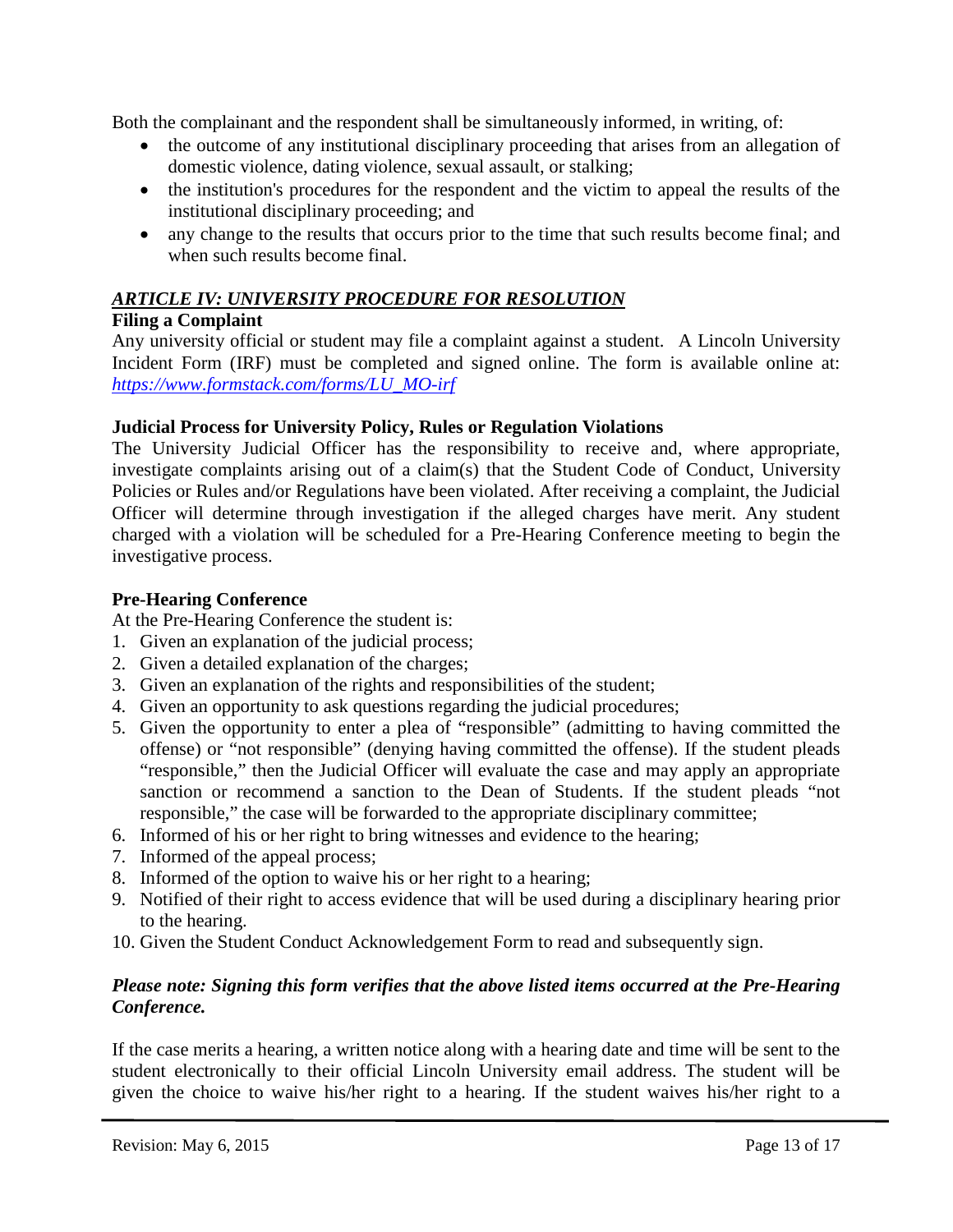Both the complainant and the respondent shall be simultaneously informed, in writing, of:

- the outcome of any institutional disciplinary proceeding that arises from an allegation of domestic violence, dating violence, sexual assault, or stalking;
- the institution's procedures for the respondent and the victim to appeal the results of the institutional disciplinary proceeding; and
- any change to the results that occurs prior to the time that such results become final; and when such results become final.

# <span id="page-12-0"></span>*ARTICLE IV: UNIVERSITY PROCEDURE FOR RESOLUTION*

# <span id="page-12-1"></span>**Filing a Complaint**

Any university official or student may file a complaint against a student. A Lincoln University Incident Form (IRF) must be completed and signed online. The form is available online at: *[https://www.formstack.com/forms/LU\\_MO-irf](https://www.formstack.com/forms/LU_MO-irf)*

# **Judicial Process for University Policy, Rules or Regulation Violations**

The University Judicial Officer has the responsibility to receive and, where appropriate, investigate complaints arising out of a claim(s) that the Student Code of Conduct, University Policies or Rules and/or Regulations have been violated. After receiving a complaint, the Judicial Officer will determine through investigation if the alleged charges have merit. Any student charged with a violation will be scheduled for a Pre-Hearing Conference meeting to begin the investigative process.

# <span id="page-12-2"></span>**Pre-Hearing Conference**

At the Pre-Hearing Conference the student is:

- 1. Given an explanation of the judicial process;
- 2. Given a detailed explanation of the charges;
- 3. Given an explanation of the rights and responsibilities of the student;
- 4. Given an opportunity to ask questions regarding the judicial procedures;
- 5. Given the opportunity to enter a plea of "responsible" (admitting to having committed the offense) or "not responsible" (denying having committed the offense). If the student pleads "responsible," then the Judicial Officer will evaluate the case and may apply an appropriate sanction or recommend a sanction to the Dean of Students. If the student pleads "not responsible," the case will be forwarded to the appropriate disciplinary committee;
- 6. Informed of his or her right to bring witnesses and evidence to the hearing;
- 7. Informed of the appeal process;
- 8. Informed of the option to waive his or her right to a hearing;
- 9. Notified of their right to access evidence that will be used during a disciplinary hearing prior to the hearing.
- 10. Given the Student Conduct Acknowledgement Form to read and subsequently sign.

# *Please note: Signing this form verifies that the above listed items occurred at the Pre-Hearing Conference.*

If the case merits a hearing, a written notice along with a hearing date and time will be sent to the student electronically to their official Lincoln University email address. The student will be given the choice to waive his/her right to a hearing. If the student waives his/her right to a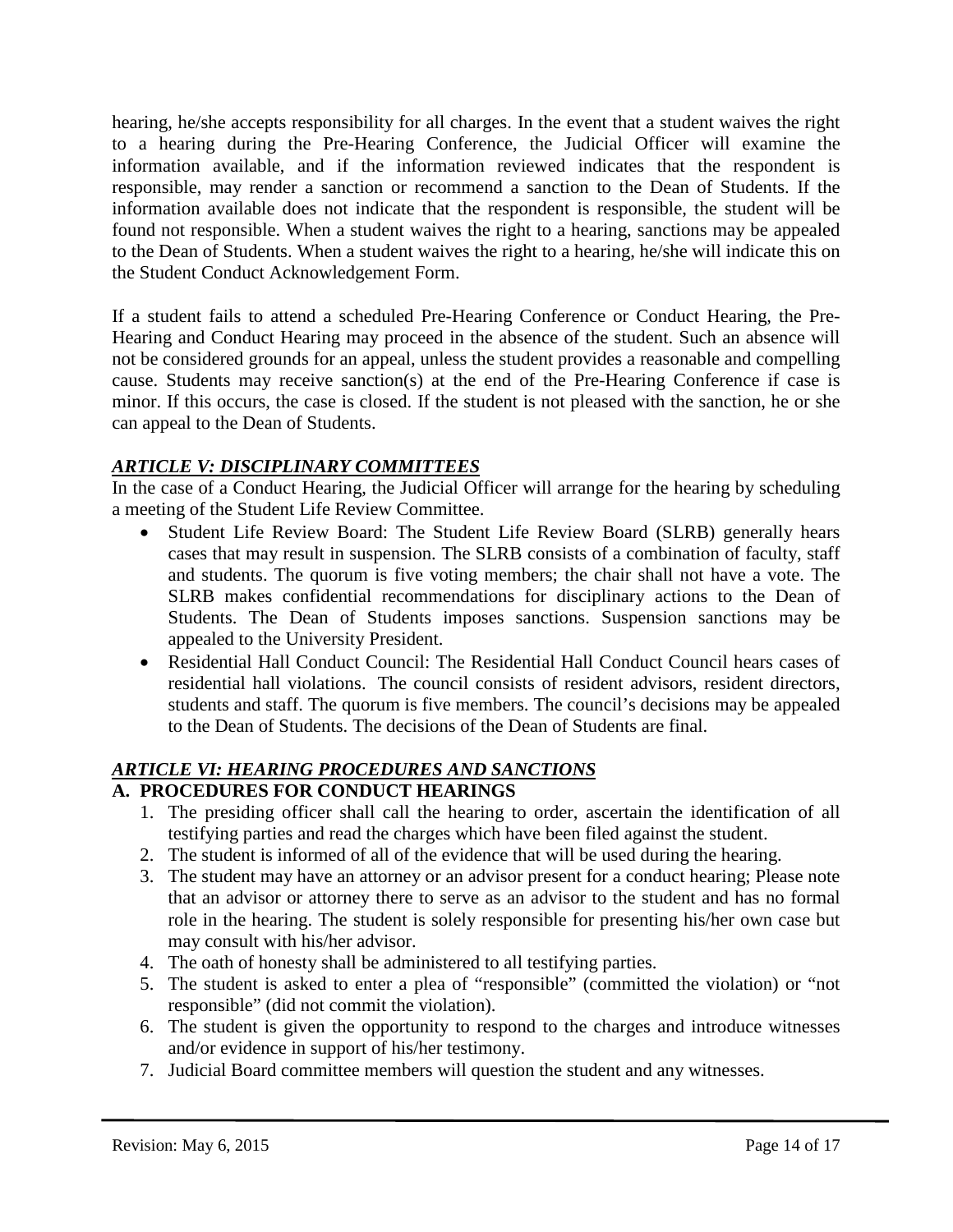hearing, he/she accepts responsibility for all charges. In the event that a student waives the right to a hearing during the Pre-Hearing Conference, the Judicial Officer will examine the information available, and if the information reviewed indicates that the respondent is responsible, may render a sanction or recommend a sanction to the Dean of Students. If the information available does not indicate that the respondent is responsible, the student will be found not responsible. When a student waives the right to a hearing, sanctions may be appealed to the Dean of Students. When a student waives the right to a hearing, he/she will indicate this on the Student Conduct Acknowledgement Form.

If a student fails to attend a scheduled Pre-Hearing Conference or Conduct Hearing, the Pre-Hearing and Conduct Hearing may proceed in the absence of the student. Such an absence will not be considered grounds for an appeal, unless the student provides a reasonable and compelling cause. Students may receive sanction(s) at the end of the Pre-Hearing Conference if case is minor. If this occurs, the case is closed. If the student is not pleased with the sanction, he or she can appeal to the Dean of Students.

# <span id="page-13-0"></span>*ARTICLE V: DISCIPLINARY COMMITTEES*

In the case of a Conduct Hearing, the Judicial Officer will arrange for the hearing by scheduling a meeting of the Student Life Review Committee.

- Student Life Review Board: The Student Life Review Board (SLRB) generally hears cases that may result in suspension. The SLRB consists of a combination of faculty, staff and students. The quorum is five voting members; the chair shall not have a vote. The SLRB makes confidential recommendations for disciplinary actions to the Dean of Students. The Dean of Students imposes sanctions. Suspension sanctions may be appealed to the University President.
- Residential Hall Conduct Council: The Residential Hall Conduct Council hears cases of residential hall violations. The council consists of resident advisors, resident directors, students and staff. The quorum is five members. The council's decisions may be appealed to the Dean of Students. The decisions of the Dean of Students are final.

# <span id="page-13-1"></span>*ARTICLE VI: HEARING PROCEDURES AND SANCTIONS*

# <span id="page-13-2"></span>**A. PROCEDURES FOR CONDUCT HEARINGS**

- 1. The presiding officer shall call the hearing to order, ascertain the identification of all testifying parties and read the charges which have been filed against the student.
- 2. The student is informed of all of the evidence that will be used during the hearing.
- 3. The student may have an attorney or an advisor present for a conduct hearing; Please note that an advisor or attorney there to serve as an advisor to the student and has no formal role in the hearing. The student is solely responsible for presenting his/her own case but may consult with his/her advisor.
- 4. The oath of honesty shall be administered to all testifying parties.
- 5. The student is asked to enter a plea of "responsible" (committed the violation) or "not responsible" (did not commit the violation).
- 6. The student is given the opportunity to respond to the charges and introduce witnesses and/or evidence in support of his/her testimony.
- 7. Judicial Board committee members will question the student and any witnesses.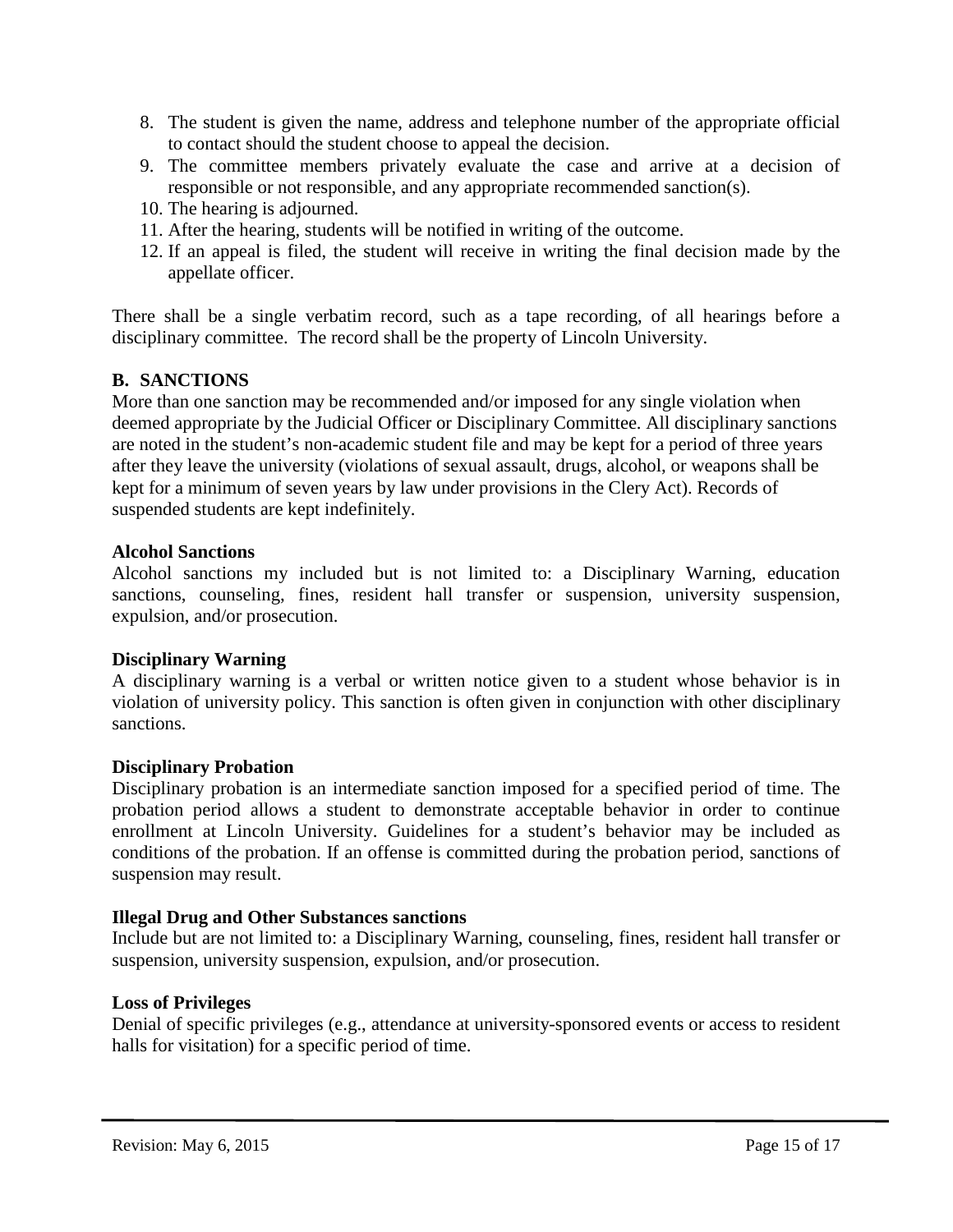- 8. The student is given the name, address and telephone number of the appropriate official to contact should the student choose to appeal the decision.
- 9. The committee members privately evaluate the case and arrive at a decision of responsible or not responsible, and any appropriate recommended sanction(s).
- 10. The hearing is adjourned.
- 11. After the hearing, students will be notified in writing of the outcome.
- 12. If an appeal is filed, the student will receive in writing the final decision made by the appellate officer.

There shall be a single verbatim record, such as a tape recording, of all hearings before a disciplinary committee. The record shall be the property of Lincoln University.

# <span id="page-14-0"></span>**B. SANCTIONS**

More than one sanction may be recommended and/or imposed for any single violation when deemed appropriate by the Judicial Officer or Disciplinary Committee. All disciplinary sanctions are noted in the student's non-academic student file and may be kept for a period of three years after they leave the university (violations of sexual assault, drugs, alcohol, or weapons shall be kept for a minimum of seven years by law under provisions in the Clery Act). Records of suspended students are kept indefinitely.

### **Alcohol Sanctions**

Alcohol sanctions my included but is not limited to: a Disciplinary Warning, education sanctions, counseling, fines, resident hall transfer or suspension, university suspension, expulsion, and/or prosecution.

# **Disciplinary Warning**

A disciplinary warning is a verbal or written notice given to a student whose behavior is in violation of university policy. This sanction is often given in conjunction with other disciplinary sanctions.

#### **Disciplinary Probation**

Disciplinary probation is an intermediate sanction imposed for a specified period of time. The probation period allows a student to demonstrate acceptable behavior in order to continue enrollment at Lincoln University. Guidelines for a student's behavior may be included as conditions of the probation. If an offense is committed during the probation period, sanctions of suspension may result.

# **Illegal Drug and Other Substances sanctions**

Include but are not limited to: a Disciplinary Warning, counseling, fines, resident hall transfer or suspension, university suspension, expulsion, and/or prosecution.

#### **Loss of Privileges**

Denial of specific privileges (e.g., attendance at university-sponsored events or access to resident halls for visitation) for a specific period of time.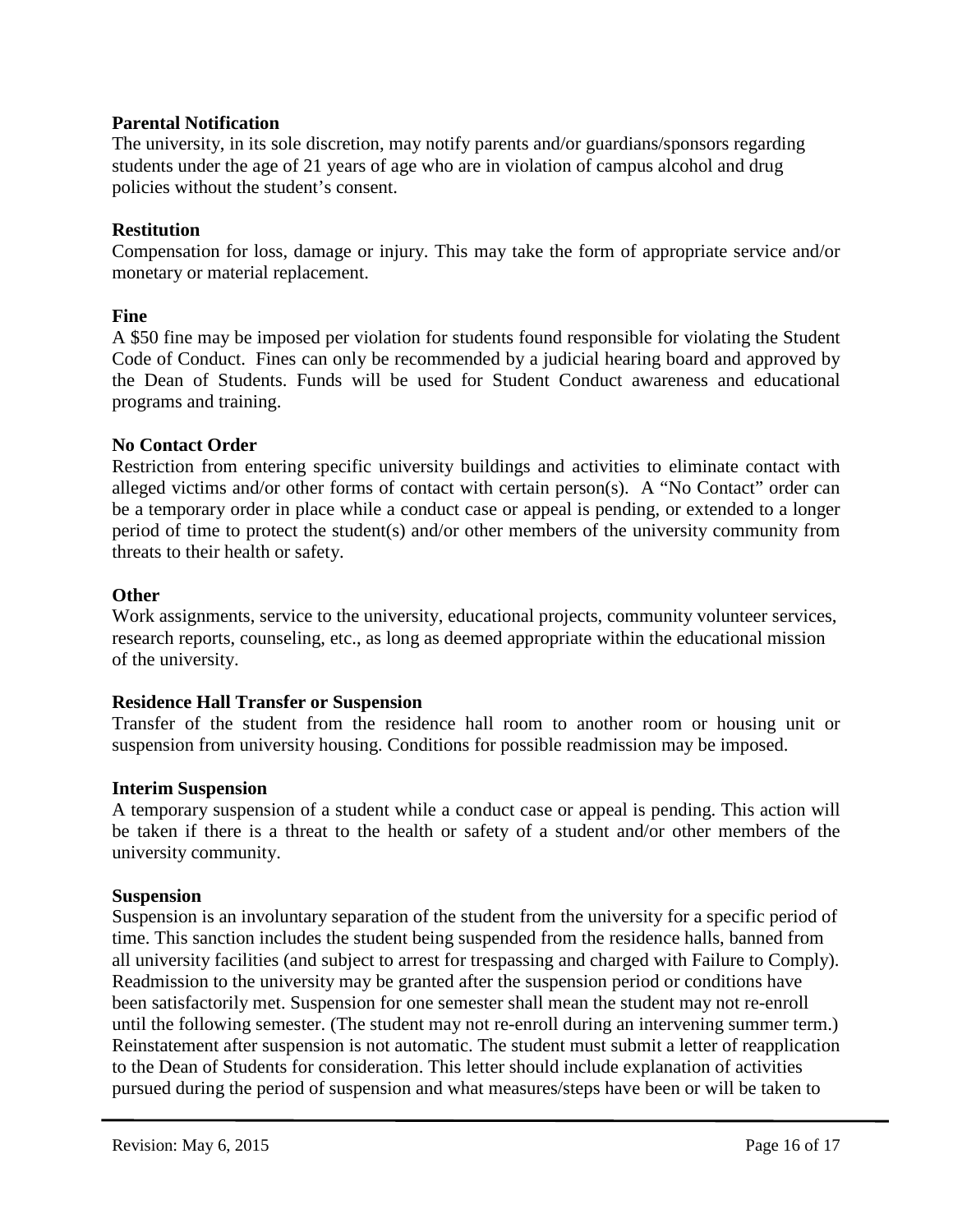# **Parental Notification**

The university, in its sole discretion, may notify parents and/or guardians/sponsors regarding students under the age of 21 years of age who are in violation of campus alcohol and drug policies without the student's consent.

# **Restitution**

Compensation for loss, damage or injury. This may take the form of appropriate service and/or monetary or material replacement.

# **Fine**

A \$50 fine may be imposed per violation for students found responsible for violating the Student Code of Conduct. Fines can only be recommended by a judicial hearing board and approved by the Dean of Students. Funds will be used for Student Conduct awareness and educational programs and training.

# <span id="page-15-1"></span>**No Contact Order**

Restriction from entering specific university buildings and activities to eliminate contact with alleged victims and/or other forms of contact with certain person(s). A "No Contact" order can be a temporary order in place while a conduct case or appeal is pending, or extended to a longer period of time to protect the student(s) and/or other members of the university community from threats to their health or safety.

# **Other**

Work assignments, service to the university, educational projects, community volunteer services, research reports, counseling, etc., as long as deemed appropriate within the educational mission of the university.

# **Residence Hall Transfer or Suspension**

Transfer of the student from the residence hall room to another room or housing unit or suspension from university housing. Conditions for possible readmission may be imposed.

# <span id="page-15-0"></span>**Interim Suspension**

A temporary suspension of a student while a conduct case or appeal is pending. This action will be taken if there is a threat to the health or safety of a student and/or other members of the university community.

# **Suspension**

Suspension is an involuntary separation of the student from the university for a specific period of time. This sanction includes the student being suspended from the residence halls, banned from all university facilities (and subject to arrest for trespassing and charged with Failure to Comply). Readmission to the university may be granted after the suspension period or conditions have been satisfactorily met. Suspension for one semester shall mean the student may not re-enroll until the following semester. (The student may not re-enroll during an intervening summer term.) Reinstatement after suspension is not automatic. The student must submit a letter of reapplication to the Dean of Students for consideration. This letter should include explanation of activities pursued during the period of suspension and what measures/steps have been or will be taken to